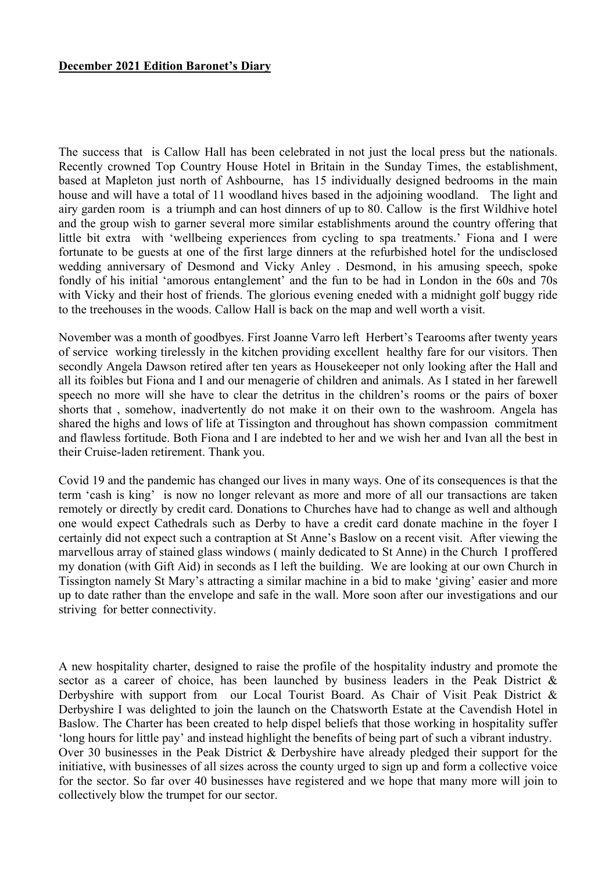## **December 2021 Edition Baronet's Diary**

The success that is Callow Hall has been celebrated in not just the local press but the nationals. Recently crowned Top Country House Hotel in Britain in the Sunday Times, the establishment, based at Mapleton just north of Ashbourne, has 15 individually designed bedrooms in the main house and will have a total of 11 woodland hives based in the adjoining woodland. The light and airy garden room is a triumph and can host dinners of up to 80. Callow is the first Wildhive hotel and the group wish to garner several more similar establishments around the country offering that little bit extra with 'wellbeing experiences from cycling to spa treatments.' Fiona and I were fortunate to be guests at one of the first large dinners at the refurbished hotel for the undisclosed wedding anniversary of Desmond and Vicky Anley . Desmond, in his amusing speech, spoke fondly of his initial 'amorous entanglement' and the fun to be had in London in the 60s and 70s with Vicky and their host of friends. The glorious evening eneded with a midnight golf buggy ride to the treehouses in the woods. Callow Hall is back on the map and well worth a visit.

November was a month of goodbyes. First Joanne Varro left Herbert's Tearooms after twenty years of service working tirelessly in the kitchen providing excellent healthy fare for our visitors. Then secondly Angela Dawson retired after ten years as Housekeeper not only looking after the Hall and all its foibles but Fiona and I and our menagerie of children and animals. As I stated in her farewell speech no more will she have to clear the detritus in the children's rooms or the pairs of boxer shorts that , somehow, inadvertently do not make it on their own to the washroom. Angela has shared the highs and lows of life at Tissington and throughout has shown compassion commitment and flawless fortitude. Both Fiona and I are indebted to her and we wish her and Ivan all the best in their Cruise-laden retirement. Thank you.

Covid 19 and the pandemic has changed our lives in many ways. One of its consequences is that the term 'cash is king' is now no longer relevant as more and more of all our transactions are taken remotely or directly by credit card. Donations to Churches have had to change as well and although one would expect Cathedrals such as Derby to have a credit card donate machine in the foyer I certainly did not expect such a contraption at St Anne's Baslow on a recent visit. After viewing the marvellous array of stained glass windows ( mainly dedicated to St Anne) in the Church I proffered my donation (with Gift Aid) in seconds as I left the building. We are looking at our own Church in Tissington namely St Mary's attracting a similar machine in a bid to make 'giving' easier and more up to date rather than the envelope and safe in the wall. More soon after our investigations and our striving for better connectivity.

A new hospitality charter, designed to raise the profile of the hospitality industry and promote the sector as a career of choice, has been launched by business leaders in the Peak District & Derbyshire with support from our Local Tourist Board. As Chair of Visit Peak District & Derbyshire I was delighted to join the launch on the Chatsworth Estate at the Cavendish Hotel in Baslow. The Charter has been created to help dispel beliefs that those working in hospitality suffer 'long hours for little pay' and instead highlight the benefits of being part of such a vibrant industry. Over 30 businesses in the Peak District & Derbyshire have already pledged their support for the initiative, with businesses of all sizes across the county urged to sign up and form a collective voice for the sector. So far over 40 businesses have registered and we hope that many more will join to collectively blow the trumpet for our sector.